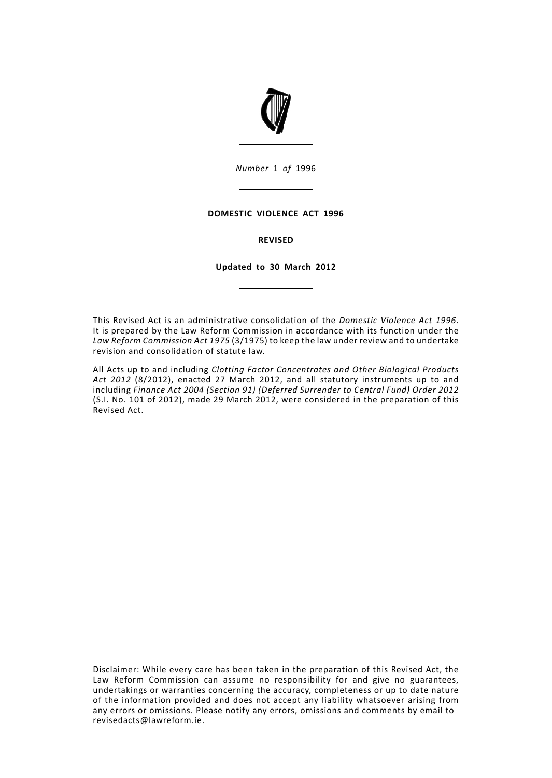

*Number* 1 *of* 1996

# **DOMESTIC VIOLENCE ACT 1996**

# **REVISED**

# **Updated to 30 March 2012**

This Revised Act is an administrative consolidation of the *Domestic Violence Act 1996*. It is prepared by the Law Reform Commission in accordance with its function under the *Law Reform Commission Act 1975* (3/1975) to keep the law under review and to undertake revision and consolidation of statute law.

All Acts up to and including *Clotting Factor Concentrates and Other Biological Products Act 2012* (8/2012), enacted 27 March 2012, and all statutory instruments up to and including *Finance Act 2004 (Section 91) (Deferred Surrender to Central Fund) Order 2012* (S.I. No. 101 of 2012), made 29 March 2012, were considered in the preparation of this Revised Act.

Disclaimer: While every care has been taken in the preparation of this Revised Act, the Law Reform Commission can assume no responsibility for and give no guarantees, undertakings or warranties concerning the accuracy, completeness or up to date nature of the information provided and does not accept any liability whatsoever arising from any errors or omissions. Please notify any errors, omissions and comments by email to revisedacts@lawreform.ie.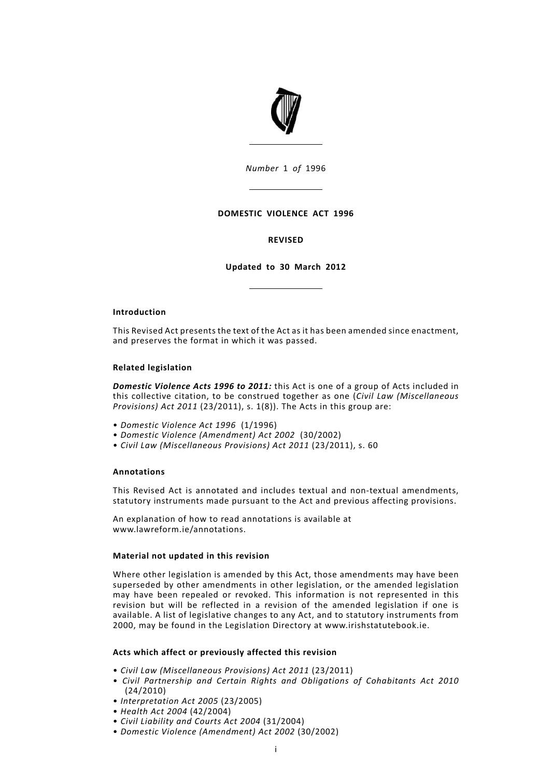

*Number* 1 *of* 1996

# **DOMESTIC VIOLENCE ACT 1996**

# **REVISED**

**Updated to 30 March 2012**

# **Introduction**

This Revised Act presents the text of the Act as it has been amended since enactment, and preserves the format in which it was passed.

## **Related legislation**

*Domestic Violence Acts 1996 to 2011:* this Act is one of a group of Acts included in this collective citation, to be construed together as one (*Civil Law (Miscellaneous Provisions) Act 2011* (23/2011), s. 1(8)). The Acts in this group are:

- *Domestic Violence Act 1996* (1/1996)
- *Domestic Violence (Amendment) Act 2002* (30/2002)
- *Civil Law (Miscellaneous Provisions) Act 2011* (23/2011), s. 60

# **Annotations**

This Revised Act is annotated and includes textual and non-textual amendments, statutory instruments made pursuant to the Act and previous affecting provisions.

An explanation of how to read annotations is available at www.lawreform.ie/annotations.

# **Material not updated in this revision**

Where other legislation is amended by this Act, those amendments may have been superseded by other amendments in other legislation, or the amended legislation may have been repealed or revoked. This information is not represented in this revision but will be reflected in a revision of the amended legislation if one is available. A list of legislative changes to any Act, and to statutory instruments from 2000, may be found in the Legislation Directory at www.irishstatutebook.ie.

# **Acts which affect or previously affected this revision**

- *Civil Law (Miscellaneous Provisions) Act 2011* (23/2011)
- *Civil Partnership and Certain Rights and Obligations of Cohabitants Act 2010* (24/2010)
- *Interpretation Act 2005* (23/2005)
- *Health Act 2004* (42/2004)
- *Civil Liability and Courts Act 2004* (31/2004)
- *Domestic Violence (Amendment) Act 2002* (30/2002)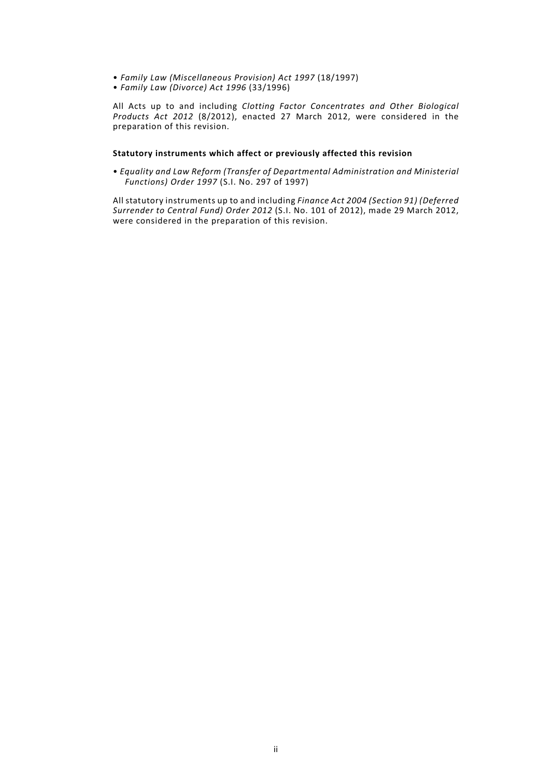- *Family Law (Miscellaneous Provision) Act 1997* (18/1997)
- *Family Law (Divorce) Act 1996* (33/1996)

All Acts up to and including *Clotting Factor Concentrates and Other Biological Products Act 2012* (8/2012), enacted 27 March 2012, were considered in the preparation of this revision.

# **Statutory instruments which affect or previously affected this revision**

• *Equality and Law Reform (Transfer of Departmental Administration and Ministerial Functions) Order 1997* (S.I. No. 297 of 1997)

All statutory instruments up to and including *Finance Act 2004 (Section 91) (Deferred Surrender to Central Fund) Order 2012* (S.I. No. 101 of 2012), made 29 March 2012, were considered in the preparation of this revision.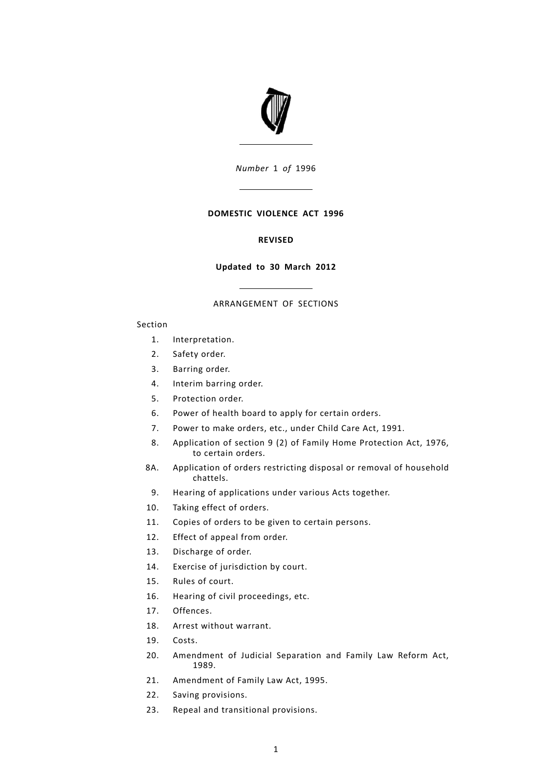

*Number* 1 *of* 1996

# **DOMESTIC VIOLENCE ACT 1996**

# **REVISED**

# **Updated to 30 March 2012**

# ARRANGEMENT OF SECTIONS

# Section

- [1.](#page-7-0) [Interpretation.](#page-7-0)
- [2.](#page-8-0) [Safety](#page-8-0) order.
- [3.](#page-11-0) [Barring](#page-11-0) order.
- [4.](#page-14-0) [Interim](#page-14-0) barring order.
- [5.](#page-15-0) [Protection](#page-15-0) order.
- [6.](#page-16-0) Power of health board to apply for certain [orders.](#page-16-0)
- [7.](#page-18-0) Power to make [orders,](#page-18-0) etc., under Child Care Act, 1991.
- [Application](#page-18-1) of section 9 (2) of Family Home Protection Act, 1976, to certain [orders.](#page-18-1) [8.](#page-18-1)
- [Application](#page-19-0) of orders restricting disposal or removal of household [chattels.](#page-19-0) [8A.](#page-19-0)
- [9.](#page-19-1) Hearing of [applications](#page-19-1) under various Acts together.
- [10.](#page-19-2) Taking effect of [orders.](#page-19-2)
- [11.](#page-20-0) Copies of orders to be given to certain [persons.](#page-20-0)
- [12.](#page-21-0) Effect of [appeal](#page-21-0) from order.
- [13.](#page-21-1) [Discharge](#page-21-1) of order.
- [14.](#page-22-0) Exercise of [jurisdiction](#page-22-0) by court.
- [15.](#page-22-1) Rules of [court.](#page-22-1)
- [16.](#page-22-2) Hearing of civil [proceedings,](#page-22-2) etc.
- [17.](#page-24-0) [Offences.](#page-24-0)
- [18.](#page-25-0) Arrest without [warrant.](#page-25-0)
- [19.](#page-25-1) [Costs.](#page-25-1)
- [Amendment](#page-25-2) of Judicial Separation and Family Law Reform Act, [1989.](#page-25-2) [20.](#page-25-2)
- [21.](#page-26-0) [Amendment](#page-26-0) of Family Law Act, 1995.
- [22.](#page-26-1) Saving [provisions.](#page-26-1)
- [23.](#page-26-2) Repeal and [transitional](#page-26-2) provisions.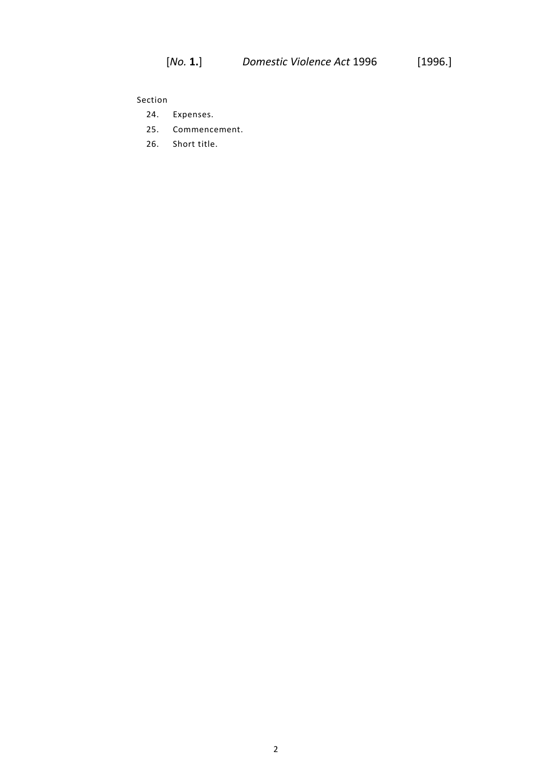Section

- [24.](#page-27-0) [Expenses.](#page-27-0)
- [25.](#page-27-1) [Commencement.](#page-27-1)
- [26.](#page-27-2) [Short](#page-27-2) title.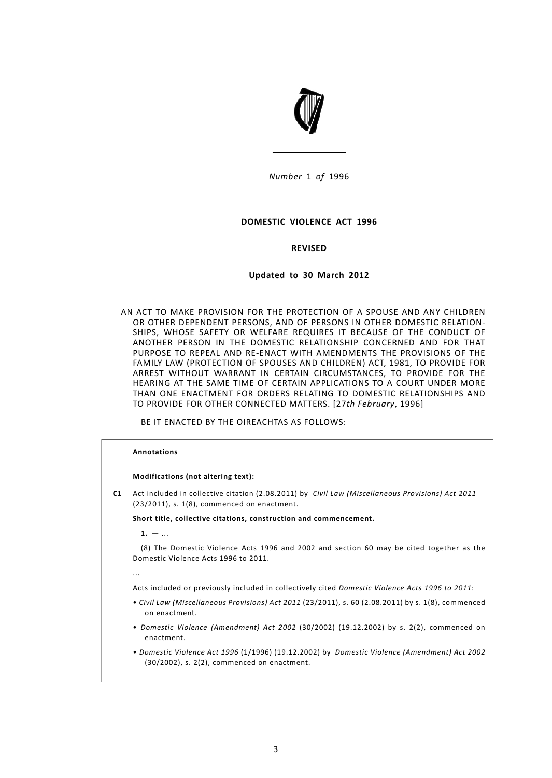

*Number* 1 *of* 1996

# **DOMESTIC VIOLENCE ACT 1996**

# **REVISED**

# **Updated to 30 March 2012**

AN ACT TO MAKE PROVISION FOR THE PROTECTION OF A SPOUSE AND ANY CHILDREN OR OTHER DEPENDENT PERSONS, AND OF PERSONS IN OTHER DOMESTIC RELATION-SHIPS, WHOSE SAFETY OR WELFARE REQUIRES IT BECAUSE OF THE CONDUCT OF ANOTHER PERSON IN THE DOMESTIC RELATIONSHIP CONCERNED AND FOR THAT PURPOSE TO REPEAL AND RE-ENACT WITH AMENDMENTS THE PROVISIONS OF THE FAMILY LAW (PROTECTION OF SPOUSES AND CHILDREN) ACT, 1981, TO PROVIDE FOR ARREST WITHOUT WARRANT IN CERTAIN CIRCUMSTANCES, TO PROVIDE FOR THE HEARING AT THE SAME TIME OF CERTAIN APPLICATIONS TO A COURT UNDER MORE THAN ONE ENACTMENT FOR ORDERS RELATING TO DOMESTIC RELATIONSHIPS AND TO PROVIDE FOR OTHER CONNECTED MATTERS. [27*th February*, 1996]

BE IT ENACTED BY THE OIREACHTAS AS FOLLOWS:

# **Annotations**

#### **Modifications (not altering text):**

**C1** Act included in collective citation (2.08.2011) by *Civil Law (Miscellaneous Provisions) Act 2011* (23/2011), s. 1(8), commenced on enactment.

**Short title, collective citations, construction and commencement.**

 $1. - ...$ 

(8) The Domestic Violence Acts 1996 and 2002 and section 60 may be cited together as the Domestic Violence Acts 1996 to 2011.

...

Acts included or previously included in collectively cited *Domestic Violence Acts 1996 to 2011*:

- *Civil Law (Miscellaneous Provisions) Act 2011* (23/2011), s. 60 (2.08.2011) by s. 1(8), commenced on enactment.
- *Domestic Violence (Amendment) Act 2002* (30/2002) (19.12.2002) by s. 2(2), commenced on enactment.
- *Domestic Violence Act 1996* (1/1996) (19.12.2002) by *Domestic Violence (Amendment) Act 2002* (30/2002), s. 2(2), commenced on enactment.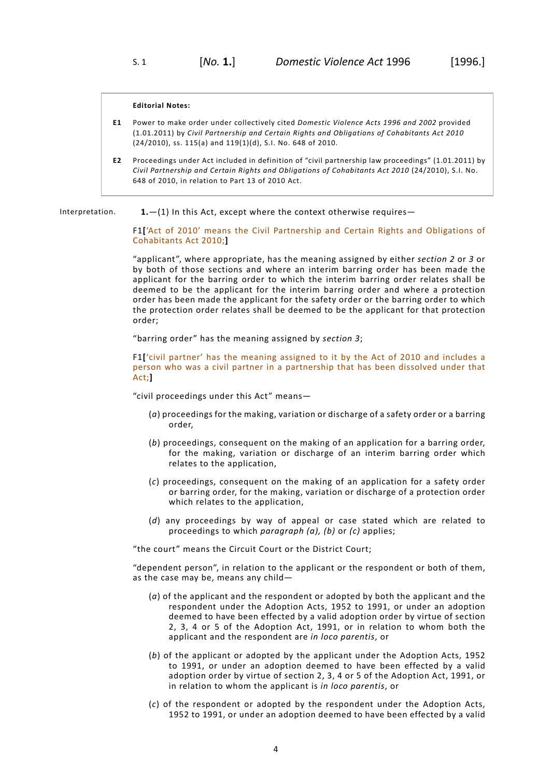#### **Editorial Notes:**

- **E1** Power to make order under collectively cited *Domestic Violence Acts 1996 and 2002* provided (1.01.2011) by *Civil Partnership and Certain Rights and Obligations of Cohabitants Act 2010* (24/2010), ss. 115(a) and 119(1)(d), S.I. No. 648 of 2010.
- <span id="page-7-0"></span>**E2** Proceedings under Act included in definition of "civil partnership law proceedings" (1.01.2011) by *Civil Partnership and Certain Rights and Obligations of Cohabitants Act 2010* (24/2010), S.I. No. 648 of 2010, in relation to Part 13 of 2010 Act.

Interpretation. **1.**—(1) In this Act, except where the context otherwise requires—

F1**[**'Act of 2010' means the Civil Partnership and Certain Rights and Obligations of Cohabitants Act 2010;**]**

"applicant", where appropriate, has the meaning assigned by either *[section](#page-8-0) 2* or *[3](#page-11-0)* or by both of those sections and where an interim barring order has been made the applicant for the barring order to which the interim barring order relates shall be deemed to be the applicant for the interim barring order and where a protection order has been made the applicant for the safety order or the barring order to which the protection order relates shall be deemed to be the applicant for that protection order;

"barring order" has the meaning assigned by *[section](#page-11-0) 3*;

F1**[**'civil partner' has the meaning assigned to it by the Act of 2010 and includes a person who was a civil partner in a partnership that has been dissolved under that Act;**]**

"civil proceedings under this Act" means—

- (*a*) proceedings for the making, variation or discharge of a safety order or a barring order,
- (*b*) proceedings, consequent on the making of an application for a barring order, for the making, variation or discharge of an interim barring order which relates to the application,
- (*c*) proceedings, consequent on the making of an application for a safety order or barring order, for the making, variation or discharge of a protection order which relates to the application,
- (*d*) any proceedings by way of appeal or case stated which are related to proceedings to which *paragraph (a), (b)* or *(c)* applies;

"the court" means the Circuit Court or the District Court;

"dependent person", in relation to the applicant or the respondent or both of them, as the case may be, means any child—

- (*a*) of the applicant and the respondent or adopted by both the applicant and the respondent under the Adoption Acts, 1952 to 1991, or under an adoption deemed to have been effected by a valid adoption order by virtue of section 2, 3, 4 or 5 of the Adoption Act, 1991, or in relation to whom both the applicant and the respondent are *in loco parentis*, or
- (*b*) of the applicant or adopted by the applicant under the Adoption Acts, 1952 to 1991, or under an adoption deemed to have been effected by a valid adoption order by virtue of section 2, 3, 4 or 5 of the Adoption Act, 1991, or in relation to whom the applicant is *in loco parentis*, or
- (*c*) of the respondent or adopted by the respondent under the Adoption Acts, 1952 to 1991, or under an adoption deemed to have been effected by a valid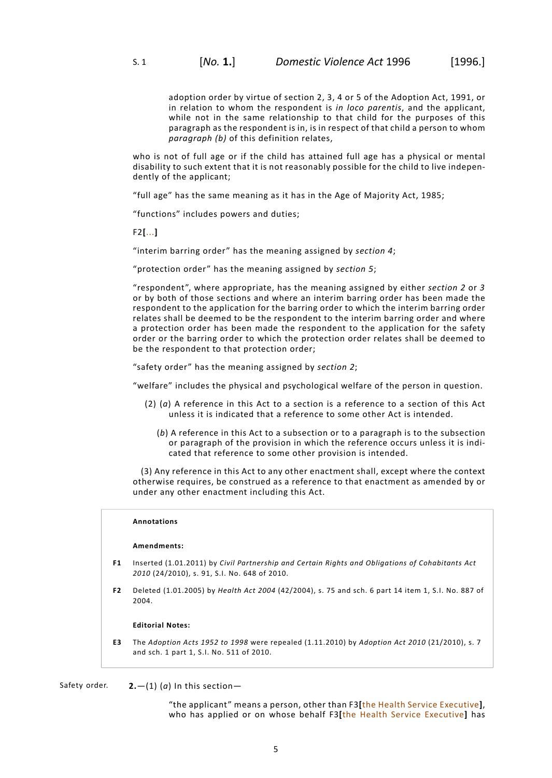adoption order by virtue of section 2, 3, 4 or 5 of the Adoption Act, 1991, or in relation to whom the respondent is *in loco parentis*, and the applicant, while not in the same relationship to that child for the purposes of this paragraph as the respondent is in, is in respect of that child a person to whom *paragraph (b)* of this definition relates,

who is not of full age or if the child has attained full age has a physical or mental disability to such extent that it is not reasonably possible for the child to live independently of the applicant;

"full age" has the same meaning as it has in the Age of Majority Act, 1985;

"functions" includes powers and duties;

F2**[**...**]**

"interim barring order" has the meaning assigned by *[section](#page-14-0) 4*;

"protection order" has the meaning assigned by *[section](#page-15-0) 5*;

"respondent", where appropriate, has the meaning assigned by either *[section](#page-8-0) 2* or *[3](#page-11-0)* or by both of those sections and where an interim barring order has been made the respondent to the application for the barring order to which the interim barring order relates shall be deemed to be the respondent to the interim barring order and where a protection order has been made the respondent to the application for the safety order or the barring order to which the protection order relates shall be deemed to be the respondent to that protection order;

"safety order" has the meaning assigned by *[section](#page-8-0) 2*;

"welfare" includes the physical and psychological welfare of the person in question.

- (2) (*a*) A reference in this Act to a section is a reference to a section of this Act unless it is indicated that a reference to some other Act is intended.
	- (*b*) A reference in this Act to a subsection or to a paragraph is to the subsection or paragraph of the provision in which the reference occurs unless it is indicated that reference to some other provision is intended.

(3) Any reference in this Act to any other enactment shall, except where the context otherwise requires, be construed as a reference to that enactment as amended by or under any other enactment including this Act.

# **Annotations**

## **Amendments:**

- **F1** Inserted (1.01.2011) by *Civil Partnership and Certain Rights and Obligations of Cohabitants Act 2010* (24/2010), s. 91, S.I. No. 648 of 2010.
- **F2** Deleted (1.01.2005) by *Health Act 2004* (42/2004), s. 75 and sch. 6 part 14 item 1, S.I. No. 887 of 2004.

#### <span id="page-8-0"></span>**Editorial Notes:**

**E3** The *Adoption Acts 1952 to 1998* were repealed (1.11.2010) by *Adoption Act 2010* (21/2010), s. 7 and sch. 1 part 1, S.I. No. 511 of 2010.

Safety order. **2.**  $-$ (1) (*a*) In this section-

"the applicant" means a person, other than F3**[**the Health Service Executive**]**, who has applied or on whose behalf F3**[**the Health Service Executive**]** has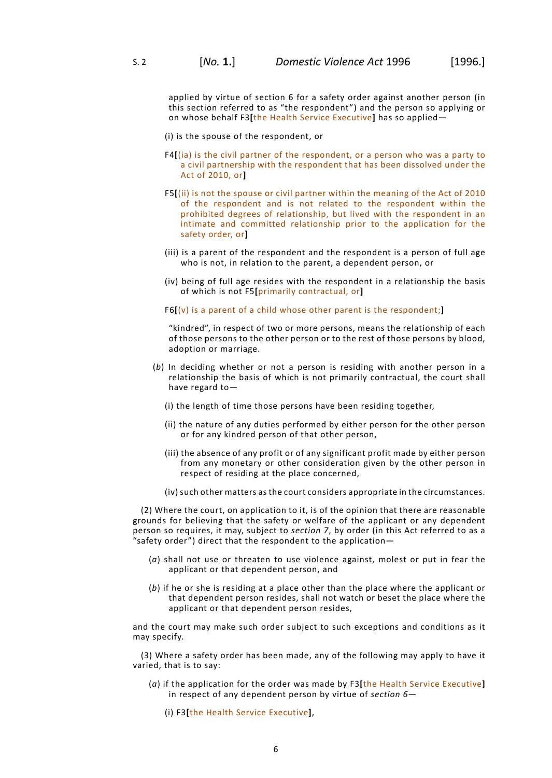applied by virtue of section 6 for a safety order against another person (in this section referred to as "the respondent") and the person so applying or on whose behalf F3**[**the Health Service Executive**]** has so applied—

(i) is the spouse of the respondent, or

- F4**[**(ia) is the civil partner of the respondent, or a person who was a party to a civil partnership with the respondent that has been dissolved under the Act of 2010, or**]**
- F5**[**(ii) is not the spouse or civil partner within the meaning of the Act of 2010 of the respondent and is not related to the respondent within the prohibited degrees of relationship, but lived with the respondent in an intimate and committed relationship prior to the application for the safety order, or**]**
- (iii) is a parent of the respondent and the respondent is a person of full age who is not, in relation to the parent, a dependent person, or
- (iv) being of full age resides with the respondent in a relationship the basis of which is not F5**[**primarily contractual, or**]**

F6**[**(v) is a parent of a child whose other parent is the respondent;**]**

"kindred", in respect of two or more persons, means the relationship of each of those persons to the other person or to the rest of those persons by blood, adoption or marriage.

- (*b*) In deciding whether or not a person is residing with another person in a relationship the basis of which is not primarily contractual, the court shall have regard to—
	- (i) the length of time those persons have been residing together,
	- (ii) the nature of any duties performed by either person for the other person or for any kindred person of that other person,
	- (iii) the absence of any profit or of any significant profit made by either person from any monetary or other consideration given by the other person in respect of residing at the place concerned,
	- (iv) such other matters as the court considers appropriate in the circumstances.

(2) Where the court, on application to it, is of the opinion that there are reasonable grounds for believing that the safety or welfare of the applicant or any dependent person so requires, it may, subject to *[section](#page-18-0) 7*, by order (in this Act referred to as a "safety order") direct that the respondent to the application—

- (*a*) shall not use or threaten to use violence against, molest or put in fear the applicant or that dependent person, and
- (*b*) if he or she is residing at a place other than the place where the applicant or that dependent person resides, shall not watch or beset the place where the applicant or that dependent person resides,

and the court may make such order subject to such exceptions and conditions as it may specify.

(3) Where a safety order has been made, any of the following may apply to have it varied, that is to say:

(*a*) if the application for the order was made by F3**[**the Health Service Executive**]** in respect of any dependent person by virtue of *[section](#page-16-0) 6*—

(i) F3**[**the Health Service Executive**]**,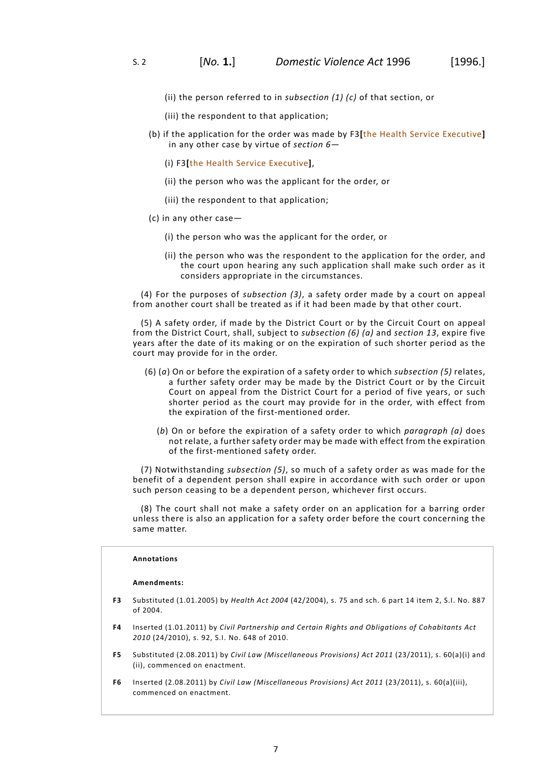- (ii) the person referred to in *subsection (1) (c)* of that section, or
- (iii) the respondent to that application;
- (b) if the application for the order was made by F3**[**the Health Service Executive**]** in any other case by virtue of *[section](#page-16-0) 6*—
	- (i) F3**[**the Health Service Executive**]**,
	- (ii) the person who was the applicant for the order, or
	- (iii) the respondent to that application;
- (c) in any other case—
	- (i) the person who was the applicant for the order, or
	- (ii) the person who was the respondent to the application for the order, and the court upon hearing any such application shall make such order as it considers appropriate in the circumstances.

(4) For the purposes of *subsection (3)*, a safety order made by a court on appeal from another court shall be treated as if it had been made by that other court.

(5) A safety order, if made by the District Court or by the Circuit Court on appeal from the District Court, shall, subject to *subsection (6) (a)* and *[section](#page-21-1) 13*, expire five years after the date of its making or on the expiration of such shorter period as the court may provide for in the order.

- (6) (*a*) On or before the expiration of a safety order to which *subsection (5)* relates, a further safety order may be made by the District Court or by the Circuit Court on appeal from the District Court for a period of five years, or such shorter period as the court may provide for in the order, with effect from the expiration of the first-mentioned order.
	- (*b*) On or before the expiration of a safety order to which *paragraph (a)* does not relate, a further safety order may be made with effect from the expiration of the first-mentioned safety order.

(7) Notwithstanding *subsection (5)*, so much of a safety order as was made for the benefit of a dependent person shall expire in accordance with such order or upon such person ceasing to be a dependent person, whichever first occurs.

(8) The court shall not make a safety order on an application for a barring order unless there is also an application for a safety order before the court concerning the same matter.

# **Annotations**

#### **Amendments:**

- **F3** Substituted (1.01.2005) by *Health Act 2004* (42/2004), s. 75 and sch. 6 part 14 item 2, S.I. No. 887 of 2004.
- **F4** Inserted (1.01.2011) by *Civil Partnership and Certain Rights and Obligations of Cohabitants Act 2010* (24/2010), s. 92, S.I. No. 648 of 2010.
- **F5** Substituted (2.08.2011) by *Civil Law (Miscellaneous Provisions) Act 2011* (23/2011), s. 60(a)(i) and (ii), commenced on enactment.
- **F6** Inserted (2.08.2011) by *Civil Law (Miscellaneous Provisions) Act 2011* (23/2011), s. 60(a)(iii), commenced on enactment.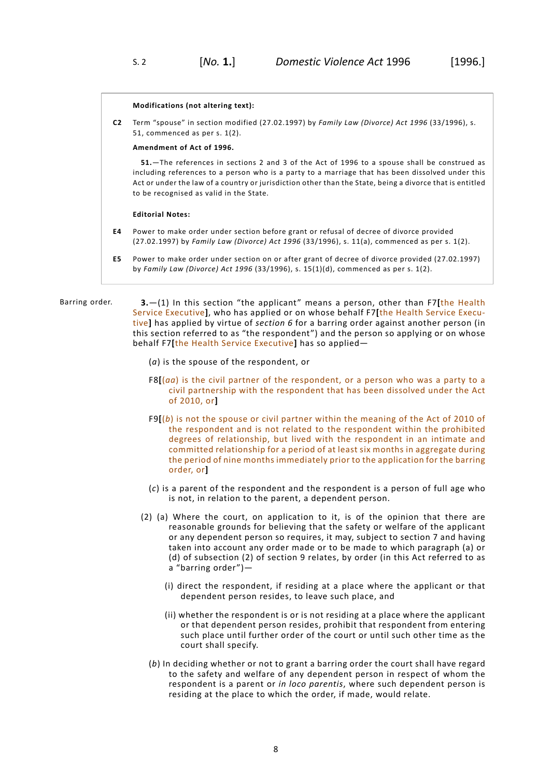#### **Modifications (not altering text):**

**C2** Term "spouse" in section modified (27.02.1997) by *Family Law (Divorce) Act 1996* (33/1996), s. 51, commenced as per s. 1(2).

## **Amendment of Act of 1996.**

**51.**—The references in sections 2 and 3 of the Act of 1996 to a spouse shall be construed as including references to a person who is a party to a marriage that has been dissolved under this Act or under the law of a country or jurisdiction other than the State, being a divorce that is entitled to be recognised as valid in the State.

## **Editorial Notes:**

- **E4** Power to make order under section before grant or refusal of decree of divorce provided (27.02.1997) by *Family Law (Divorce) Act 1996* (33/1996), s. 11(a), commenced as per s. 1(2).
- <span id="page-11-0"></span>**E5** Power to make order under section on or after grant of decree of divorce provided (27.02.1997) by *Family Law (Divorce) Act 1996* (33/1996), s. 15(1)(d), commenced as per s. 1(2).

Barring order. **3.**—(1) In this section "the applicant" means a person, other than F7**[**the Health Service Executive**]**, who has applied or on whose behalf F7**[**the Health Service Executive**]** has applied by virtue of *[section](#page-16-0) 6* for a barring order against another person (in this section referred to as "the respondent") and the person so applying or on whose behalf F7**[**the Health Service Executive**]** has so applied—

(*a*) is the spouse of the respondent, or

- F8**[**(*aa*) is the civil partner of the respondent, or a person who was a party to a civil partnership with the respondent that has been dissolved under the Act of 2010, or**]**
- F9**[**(*b*) is not the spouse or civil partner within the meaning of the Act of 2010 of the respondent and is not related to the respondent within the prohibited degrees of relationship, but lived with the respondent in an intimate and committed relationship for a period of at least six months in aggregate during the period of nine months immediately prior to the application for the barring order, or**]**
- (*c*) is a parent of the respondent and the respondent is a person of full age who is not, in relation to the parent, a dependent person.
- (2) (a) Where the court, on application to it, is of the opinion that there are reasonable grounds for believing that the safety or welfare of the applicant or any dependent person so requires, it may, subject to section 7 and having taken into account any order made or to be made to which paragraph (a) or (d) of subsection (2) of section 9 relates, by order (in this Act referred to as a "barring order")—
	- (i) direct the respondent, if residing at a place where the applicant or that dependent person resides, to leave such place, and
	- (ii) whether the respondent is or is not residing at a place where the applicant or that dependent person resides, prohibit that respondent from entering such place until further order of the court or until such other time as the court shall specify.
	- (*b*) In deciding whether or not to grant a barring order the court shall have regard to the safety and welfare of any dependent person in respect of whom the respondent is a parent or *in loco parentis*, where such dependent person is residing at the place to which the order, if made, would relate.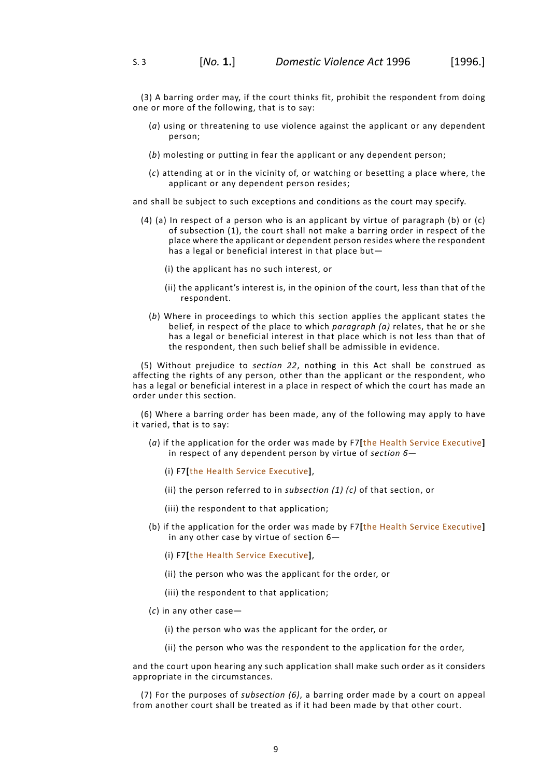(3) A barring order may, if the court thinks fit, prohibit the respondent from doing one or more of the following, that is to say:

- (*a*) using or threatening to use violence against the applicant or any dependent person;
- (*b*) molesting or putting in fear the applicant or any dependent person;
- (*c*) attending at or in the vicinity of, or watching or besetting a place where, the applicant or any dependent person resides;

and shall be subject to such exceptions and conditions as the court may specify.

- (4) (a) In respect of a person who is an applicant by virtue of paragraph (b) or (c) of subsection (1), the court shall not make a barring order in respect of the place where the applicant or dependent person resides where the respondent has a legal or beneficial interest in that place but—
	- (i) the applicant has no such interest, or
	- (ii) the applicant's interest is, in the opinion of the court, less than that of the respondent.
	- (*b*) Where in proceedings to which this section applies the applicant states the belief, in respect of the place to which *paragraph (a)* relates, that he or she has a legal or beneficial interest in that place which is not less than that of the respondent, then such belief shall be admissible in evidence.

(5) Without prejudice to *[section](#page-26-1) 22*, nothing in this Act shall be construed as affecting the rights of any person, other than the applicant or the respondent, who has a legal or beneficial interest in a place in respect of which the court has made an order under this section.

(6) Where a barring order has been made, any of the following may apply to have it varied, that is to say:

- (*a*) if the application for the order was made by F7**[**the Health Service Executive**]** in respect of any dependent person by virtue of *[section](#page-16-0) 6*—
	- (i) F7**[**the Health Service Executive**]**,
	- (ii) the person referred to in *subsection (1) (c)* of that section, or
	- (iii) the respondent to that application;
- (b) if the application for the order was made by F7**[**the Health Service Executive**]** in any other case by virtue of section 6—
	- (i) F7**[**the Health Service Executive**]**,
	- (ii) the person who was the applicant for the order, or
	- (iii) the respondent to that application;
- (*c*) in any other case—
	- (i) the person who was the applicant for the order, or
	- (ii) the person who was the respondent to the application for the order,

and the court upon hearing any such application shall make such order as it considers appropriate in the circumstances.

(7) For the purposes of *subsection (6)*, a barring order made by a court on appeal from another court shall be treated as if it had been made by that other court.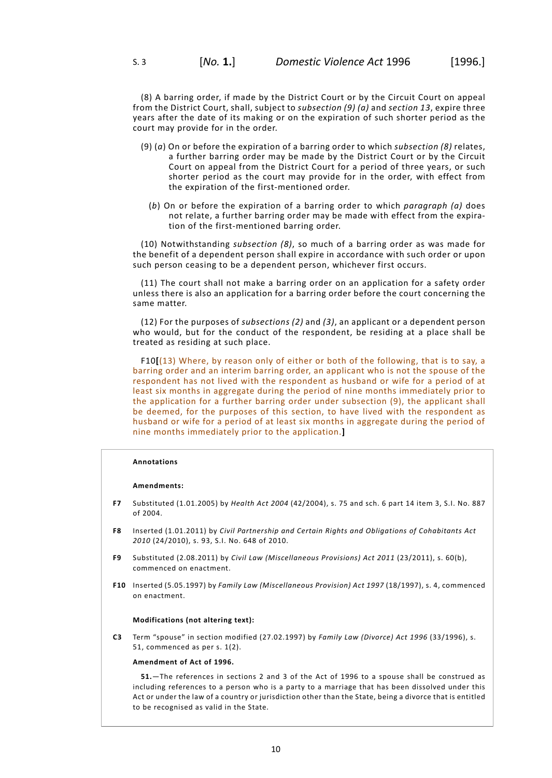(8) A barring order, if made by the District Court or by the Circuit Court on appeal from the District Court, shall, subject to *subsection (9) (a)* and *[section](#page-21-1) 13*, expire three years after the date of its making or on the expiration of such shorter period as the court may provide for in the order.

- (9) (*a*) On or before the expiration of a barring order to which *subsection (8)* relates, a further barring order may be made by the District Court or by the Circuit Court on appeal from the District Court for a period of three years, or such shorter period as the court may provide for in the order, with effect from the expiration of the first-mentioned order.
	- (*b*) On or before the expiration of a barring order to which *paragraph (a)* does not relate, a further barring order may be made with effect from the expiration of the first-mentioned barring order.

(10) Notwithstanding *subsection (8)*, so much of a barring order as was made for the benefit of a dependent person shall expire in accordance with such order or upon such person ceasing to be a dependent person, whichever first occurs.

(11) The court shall not make a barring order on an application for a safety order unless there is also an application for a barring order before the court concerning the same matter.

(12) For the purposes of *subsections (2)* and *(3)*, an applicant or a dependent person who would, but for the conduct of the respondent, be residing at a place shall be treated as residing at such place.

F10**[**(13) Where, by reason only of either or both of the following, that is to say, a barring order and an interim barring order, an applicant who is not the spouse of the respondent has not lived with the respondent as husband or wife for a period of at least six months in aggregate during the period of nine months immediately prior to the application for a further barring order under subsection (9), the applicant shall be deemed, for the purposes of this section, to have lived with the respondent as husband or wife for a period of at least six months in aggregate during the period of nine months immediately prior to the application.**]**

## **Annotations**

#### **Amendments:**

- **F7** Substituted (1.01.2005) by *Health Act 2004* (42/2004), s. 75 and sch. 6 part 14 item 3, S.I. No. 887 of 2004.
- **F8** Inserted (1.01.2011) by *Civil Partnership and Certain Rights and Obligations of Cohabitants Act 2010* (24/2010), s. 93, S.I. No. 648 of 2010.
- **F9** Substituted (2.08.2011) by *Civil Law (Miscellaneous Provisions) Act 2011* (23/2011), s. 60(b), commenced on enactment.
- **F10** Inserted (5.05.1997) by *Family Law (Miscellaneous Provision) Act 1997* (18/1997), s. 4, commenced on enactment.

#### **Modifications (not altering text):**

**C3** Term "spouse" in section modified (27.02.1997) by *Family Law (Divorce) Act 1996* (33/1996), s. 51, commenced as per s. 1(2).

## **Amendment of Act of 1996.**

**51.**—The references in sections 2 and 3 of the Act of 1996 to a spouse shall be construed as including references to a person who is a party to a marriage that has been dissolved under this Act or under the law of a country or jurisdiction other than the State, being a divorce that is entitled to be recognised as valid in the State.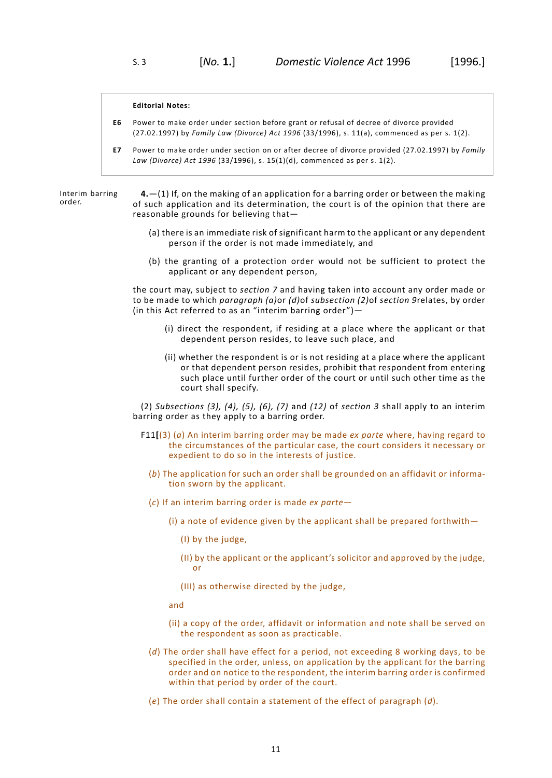#### **Editorial Notes:**

- **E6** Power to make order under section before grant or refusal of decree of divorce provided (27.02.1997) by *Family Law (Divorce) Act 1996* (33/1996), s. 11(a), commenced as per s. 1(2).
- **E7** Power to make order under section on or after decree of divorce provided (27.02.1997) by *Family Law (Divorce) Act 1996* (33/1996), s. 15(1)(d), commenced as per s. 1(2).

Interim barring order.

<span id="page-14-0"></span>**4.**—(1) If, on the making of an application for a barring order or between the making of such application and its determination, the court is of the opinion that there are reasonable grounds for believing that—

- (a) there is an immediate risk of significant harm to the applicant or any dependent person if the order is not made immediately, and
- (b) the granting of a protection order would not be sufficient to protect the applicant or any dependent person,

the court may, subject to *[section](#page-18-0) 7* and having taken into account any order made or to be made to which *paragraph (a)*or *(d)*of *subsection (2)*of *[section](#page-19-1) 9*relates, by order (in this Act referred to as an "interim barring order")—

- (i) direct the respondent, if residing at a place where the applicant or that dependent person resides, to leave such place, and
- (ii) whether the respondent is or is not residing at a place where the applicant or that dependent person resides, prohibit that respondent from entering such place until further order of the court or until such other time as the court shall specify.

(2) *Subsections (3), (4), (5), (6), (7)* and *(12)* of *[section](#page-11-0) 3* shall apply to an interim barring order as they apply to a barring order.

- F11**[**(3) (*a*) An interim barring order may be made *ex parte* where, having regard to the circumstances of the particular case, the court considers it necessary or expedient to do so in the interests of justice.
	- (*b*) The application for such an order shall be grounded on an affidavit or information sworn by the applicant.
	- (*c*) If an interim barring order is made *ex parte*
		- (i) a note of evidence given by the applicant shall be prepared forthwith—
			- (I) by the judge,
			- (II) by the applicant or the applicant's solicitor and approved by the judge, or
			- (III) as otherwise directed by the judge,
		- and
		- (ii) a copy of the order, affidavit or information and note shall be served on the respondent as soon as practicable.
	- (*d*) The order shall have effect for a period, not exceeding 8 working days, to be specified in the order, unless, on application by the applicant for the barring order and on notice to the respondent, the interim barring order is confirmed within that period by order of the court.
	- (*e*) The order shall contain a statement of the effect of paragraph (*d*).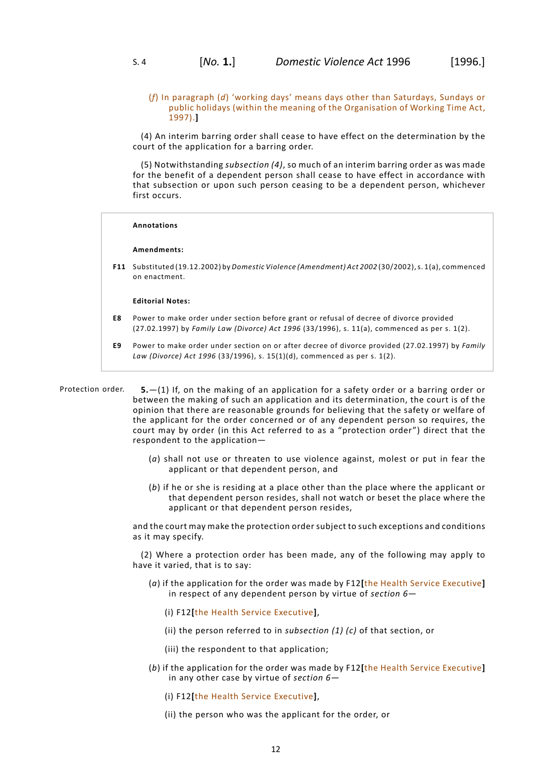(4) An interim barring order shall cease to have effect on the determination by the court of the application for a barring order.

(5) Notwithstanding *subsection (4)*, so much of an interim barring order as was made for the benefit of a dependent person shall cease to have effect in accordance with that subsection or upon such person ceasing to be a dependent person, whichever first occurs.

#### **Annotations**

#### **Amendments:**

**F11** Substituted (19.12.2002) by *Domestic Violence (Amendment) Act 2002* (30/2002),s. 1(a), commenced on enactment.

## **Editorial Notes:**

- **E8** Power to make order under section before grant or refusal of decree of divorce provided (27.02.1997) by *Family Law (Divorce) Act 1996* (33/1996), s. 11(a), commenced as per s. 1(2).
- <span id="page-15-0"></span>**E9** Power to make order under section on or after decree of divorce provided (27.02.1997) by *Family Law (Divorce) Act 1996* (33/1996), s. 15(1)(d), commenced as per s. 1(2).
- Protection order. **5.**—(1) If, on the making of an application for a safety order or a barring order or between the making of such an application and its determination, the court is of the opinion that there are reasonable grounds for believing that the safety or welfare of the applicant for the order concerned or of any dependent person so requires, the court may by order (in this Act referred to as a "protection order") direct that the respondent to the application—
	- (*a*) shall not use or threaten to use violence against, molest or put in fear the applicant or that dependent person, and
	- (*b*) if he or she is residing at a place other than the place where the applicant or that dependent person resides, shall not watch or beset the place where the applicant or that dependent person resides,

and the court may make the protection order subject to such exceptions and conditions as it may specify.

(2) Where a protection order has been made, any of the following may apply to have it varied, that is to say:

- (*a*) if the application for the order was made by F12**[**the Health Service Executive**]** in respect of any dependent person by virtue of *[section](#page-16-0) 6*—
	- (i) F12**[**the Health Service Executive**]**,
	- (ii) the person referred to in *subsection (1) (c)* of that section, or
	- (iii) the respondent to that application;
- (*b*) if the application for the order was made by F12**[**the Health Service Executive**]** in any other case by virtue of *[section](#page-16-0) 6*—
	- (i) F12**[**the Health Service Executive**]**,
	- (ii) the person who was the applicant for the order, or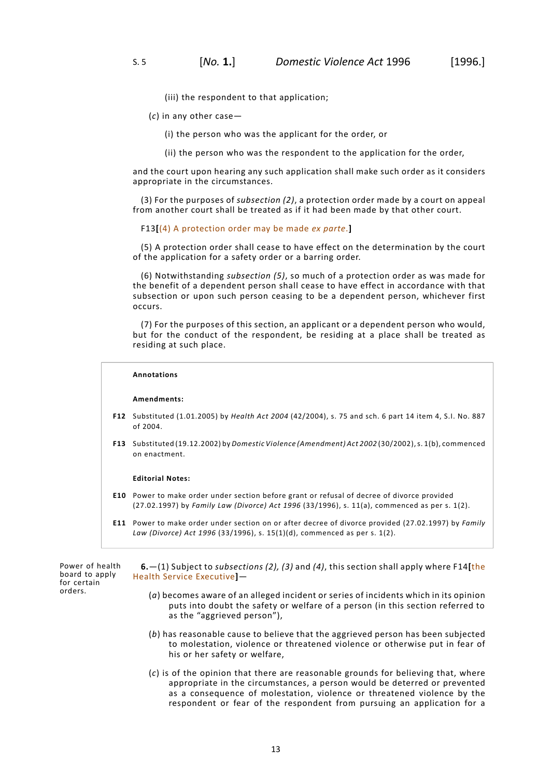(iii) the respondent to that application;

- (*c*) in any other case—
	- (i) the person who was the applicant for the order, or
	- (ii) the person who was the respondent to the application for the order,

and the court upon hearing any such application shall make such order as it considers appropriate in the circumstances.

(3) For the purposes of *subsection (2)*, a protection order made by a court on appeal from another court shall be treated as if it had been made by that other court.

## F13**[**(4) A protection order may be made *ex parte*.**]**

(5) A protection order shall cease to have effect on the determination by the court of the application for a safety order or a barring order.

(6) Notwithstanding *subsection (5)*, so much of a protection order as was made for the benefit of a dependent person shall cease to have effect in accordance with that subsection or upon such person ceasing to be a dependent person, whichever first occurs.

(7) For the purposes of this section, an applicant or a dependent person who would, but for the conduct of the respondent, be residing at a place shall be treated as residing at such place.

## **Annotations**

#### **Amendments:**

- **F12** Substituted (1.01.2005) by *Health Act 2004* (42/2004), s. 75 and sch. 6 part 14 item 4, S.I. No. 887 of 2004.
- **F13** Substituted (19.12.2002) by *Domestic Violence (Amendment) Act 2002* (30/2002),s. 1(b), commenced on enactment.

#### **Editorial Notes:**

- **E10** Power to make order under section before grant or refusal of decree of divorce provided (27.02.1997) by *Family Law (Divorce) Act 1996* (33/1996), s. 11(a), commenced as per s. 1(2).
- <span id="page-16-0"></span>**E11** Power to make order under section on or after decree of divorce provided (27.02.1997) by *Family Law (Divorce) Act 1996* (33/1996), s. 15(1)(d), commenced as per s. 1(2).

Power of health board to apply for certain orders.

**6.**—(1) Subject to *subsections (2), (3)* and *(4)*, this section shall apply where F14**[**the Health Service Executive**]**—

- (*a*) becomes aware of an alleged incident or series of incidents which in its opinion puts into doubt the safety or welfare of a person (in this section referred to as the "aggrieved person"),
- (*b*) has reasonable cause to believe that the aggrieved person has been subjected to molestation, violence or threatened violence or otherwise put in fear of his or her safety or welfare,
- (*c*) is of the opinion that there are reasonable grounds for believing that, where appropriate in the circumstances, a person would be deterred or prevented as a consequence of molestation, violence or threatened violence by the respondent or fear of the respondent from pursuing an application for a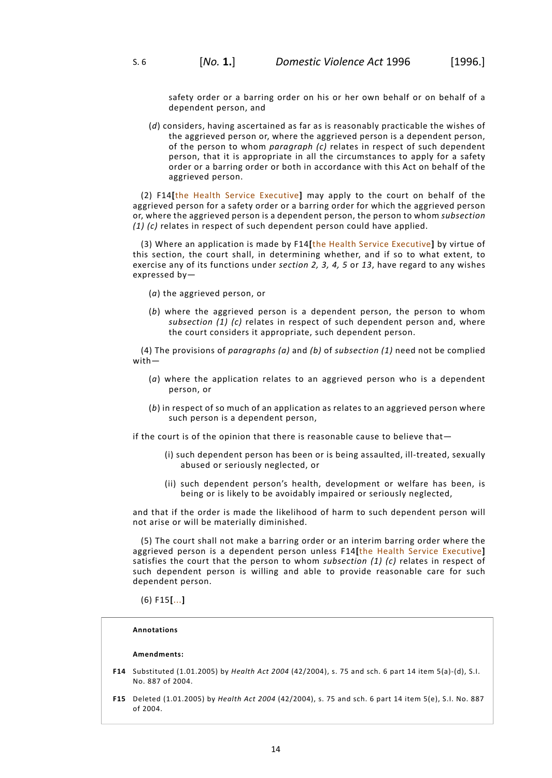safety order or a barring order on his or her own behalf or on behalf of a dependent person, and

(*d*) considers, having ascertained as far as is reasonably practicable the wishes of the aggrieved person or, where the aggrieved person is a dependent person, of the person to whom *paragraph (c)* relates in respect of such dependent person, that it is appropriate in all the circumstances to apply for a safety order or a barring order or both in accordance with this Act on behalf of the aggrieved person.

(2) F14**[**the Health Service Executive**]** may apply to the court on behalf of the aggrieved person for a safety order or a barring order for which the aggrieved person or, where the aggrieved person is a dependent person, the person to whom *subsection (1) (c)* relates in respect of such dependent person could have applied.

(3) Where an application is made by F14**[**the Health Service Executive**]** by virtue of this section, the court shall, in determining whether, and if so to what extent, to exercise any of its functions under *[section](#page-8-0) 2, [3](#page-11-0), [4](#page-14-0), [5](#page-15-0)* or *[13](#page-21-1)*, have regard to any wishes expressed by—

- (*a*) the aggrieved person, or
- (*b*) where the aggrieved person is a dependent person, the person to whom *subsection (1) (c)* relates in respect of such dependent person and, where the court considers it appropriate, such dependent person.

(4) The provisions of *paragraphs (a)* and *(b)* of *subsection (1)* need not be complied with—

- (*a*) where the application relates to an aggrieved person who is a dependent person, or
- (*b*) in respect of so much of an application as relates to an aggrieved person where such person is a dependent person,

if the court is of the opinion that there is reasonable cause to believe that—

- (i) such dependent person has been or is being assaulted, ill-treated, sexually abused or seriously neglected, or
- (ii) such dependent person's health, development or welfare has been, is being or is likely to be avoidably impaired or seriously neglected,

and that if the order is made the likelihood of harm to such dependent person will not arise or will be materially diminished.

(5) The court shall not make a barring order or an interim barring order where the aggrieved person is a dependent person unless F14**[**the Health Service Executive**]** satisfies the court that the person to whom *subsection (1) (c)* relates in respect of such dependent person is willing and able to provide reasonable care for such dependent person.

(6) F15**[**...**]**

# **Annotations**

# **Amendments:**

- **F14** Substituted (1.01.2005) by *Health Act 2004* (42/2004), s. 75 and sch. 6 part 14 item 5(a)-(d), S.I. No. 887 of 2004.
- **F15** Deleted (1.01.2005) by *Health Act 2004* (42/2004), s. 75 and sch. 6 part 14 item 5(e), S.I. No. 887 of 2004.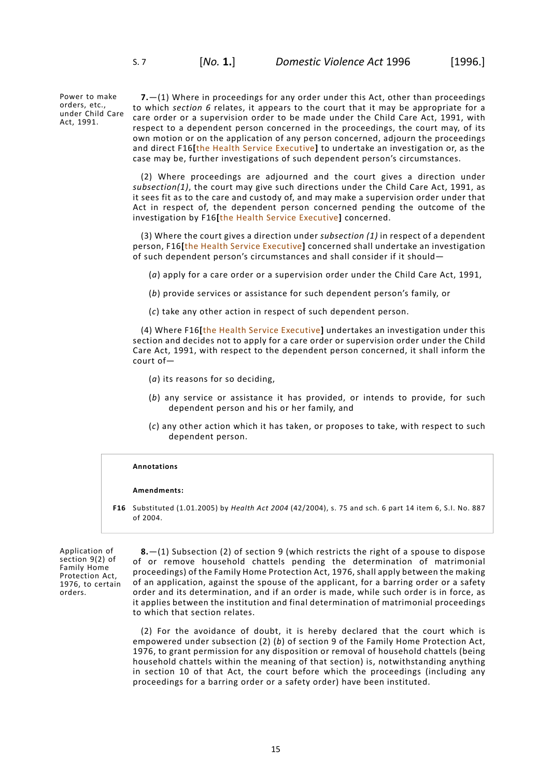Power to make orders, etc., under Child Care Act, 1991.

<span id="page-18-0"></span>**7.**—(1) Where in proceedings for any order under this Act, other than proceedings to which *[section](#page-16-0) 6* relates, it appears to the court that it may be appropriate for a care order or a supervision order to be made under the Child Care Act, 1991, with respect to a dependent person concerned in the proceedings, the court may, of its own motion or on the application of any person concerned, adjourn the proceedings and direct F16**[**the Health Service Executive**]** to undertake an investigation or, as the case may be, further investigations of such dependent person's circumstances.

(2) Where proceedings are adjourned and the court gives a direction under *subsection(1)*, the court may give such directions under the Child Care Act, 1991, as it sees fit as to the care and custody of, and may make a supervision order under that Act in respect of, the dependent person concerned pending the outcome of the investigation by F16**[**the Health Service Executive**]** concerned.

(3) Where the court gives a direction under *subsection (1)* in respect of a dependent person, F16**[**the Health Service Executive**]** concerned shall undertake an investigation of such dependent person's circumstances and shall consider if it should—

(*a*) apply for a care order or a supervision order under the Child Care Act, 1991,

- (*b*) provide services or assistance for such dependent person's family, or
- (*c*) take any other action in respect of such dependent person.

(4) Where F16**[**the Health Service Executive**]** undertakes an investigation under this section and decides not to apply for a care order or supervision order under the Child Care Act, 1991, with respect to the dependent person concerned, it shall inform the court of—

- (*a*) its reasons for so deciding,
- (*b*) any service or assistance it has provided, or intends to provide, for such dependent person and his or her family, and
- (*c*) any other action which it has taken, or proposes to take, with respect to such dependent person.

#### **Annotations**

#### <span id="page-18-1"></span>**Amendments:**

**F16** Substituted (1.01.2005) by *Health Act 2004* (42/2004), s. 75 and sch. 6 part 14 item 6, S.I. No. 887 of 2004.

Application of section 9(2) of Family Home Protection Act, 1976, to certain orders.

**8.**—(1) Subsection (2) of section 9 (which restricts the right of a spouse to dispose of or remove household chattels pending the determination of matrimonial proceedings) of the Family Home Protection Act, 1976, shall apply between the making of an application, against the spouse of the applicant, for a barring order or a safety order and its determination, and if an order is made, while such order is in force, as it applies between the institution and final determination of matrimonial proceedings to which that section relates.

(2) For the avoidance of doubt, it is hereby declared that the court which is empowered under subsection (2) (*b*) of section 9 of the Family Home Protection Act, 1976, to grant permission for any disposition or removal of household chattels (being household chattels within the meaning of that section) is, notwithstanding anything in section 10 of that Act, the court before which the proceedings (including any proceedings for a barring order or a safety order) have been instituted.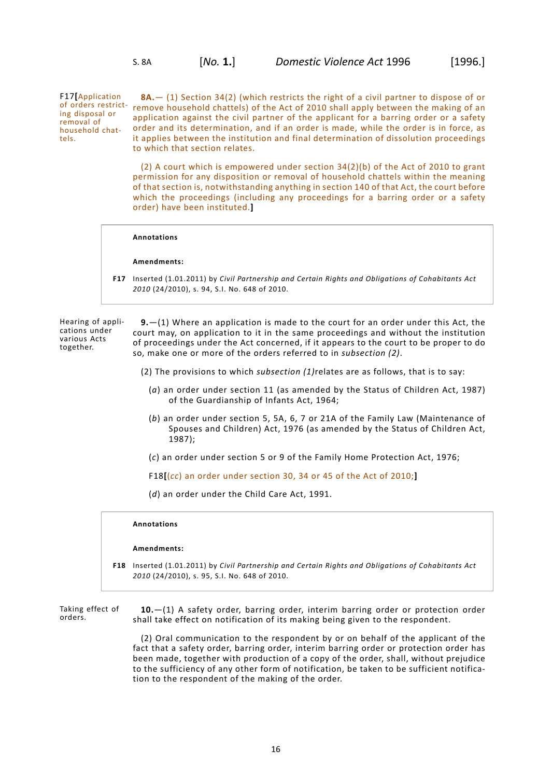F17**[**Application ing disposal or removal of household chattels.

<span id="page-19-0"></span>of orders restrict- remove household chattels) of the Act of 2010 shall apply between the making of an **8A.**— (1) Section 34(2) (which restricts the right of a civil partner to dispose of or application against the civil partner of the applicant for a barring order or a safety order and its determination, and if an order is made, while the order is in force, as it applies between the institution and final determination of dissolution proceedings to which that section relates.

> (2) A court which is empowered under section 34(2)(b) of the Act of 2010 to grant permission for any disposition or removal of household chattels within the meaning of that section is, notwithstanding anything in section 140 of that Act, the court before which the proceedings (including any proceedings for a barring order or a safety order) have been instituted.**]**

#### **Annotations**

## **Amendments:**

<span id="page-19-1"></span>**F17** Inserted (1.01.2011) by *Civil Partnership and Certain Rights and Obligations of Cohabitants Act 2010* (24/2010), s. 94, S.I. No. 648 of 2010.

Hearing of applications under various Acts together.

**9.**—(1) Where an application is made to the court for an order under this Act, the court may, on application to it in the same proceedings and without the institution of proceedings under the Act concerned, if it appears to the court to be proper to do so, make one or more of the orders referred to in *subsection (2)*.

- (2) The provisions to which *subsection (1)*relates are as follows, that is to say:
	- (*a*) an order under section 11 (as amended by the Status of Children Act, 1987) of the Guardianship of Infants Act, 1964;
	- (*b*) an order under section 5, 5A, 6, 7 or 21A of the Family Law (Maintenance of Spouses and Children) Act, 1976 (as amended by the Status of Children Act, 1987);
	- (*c*) an order under section 5 or 9 of the Family Home Protection Act, 1976;

F18**[**(*cc*) an order under section 30, 34 or 45 of the Act of 2010;**]**

(*d*) an order under the Child Care Act, 1991.

## **Annotations**

#### <span id="page-19-2"></span>**Amendments:**

**F18** Inserted (1.01.2011) by *Civil Partnership and Certain Rights and Obligations of Cohabitants Act 2010* (24/2010), s. 95, S.I. No. 648 of 2010.

Taking effect of orders.

**10.**—(1) A safety order, barring order, interim barring order or protection order shall take effect on notification of its making being given to the respondent.

(2) Oral communication to the respondent by or on behalf of the applicant of the fact that a safety order, barring order, interim barring order or protection order has been made, together with production of a copy of the order, shall, without prejudice to the sufficiency of any other form of notification, be taken to be sufficient notification to the respondent of the making of the order.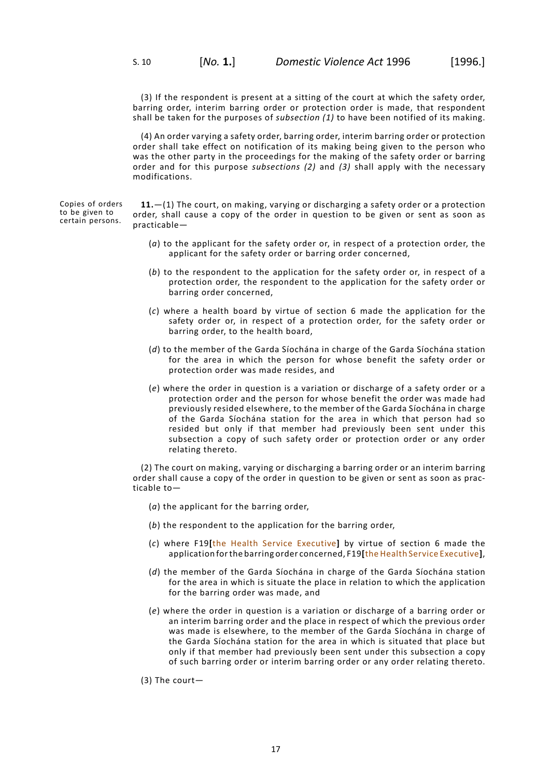(3) If the respondent is present at a sitting of the court at which the safety order, barring order, interim barring order or protection order is made, that respondent shall be taken for the purposes of *subsection (1)* to have been notified of its making.

(4) An order varying a safety order, barring order, interim barring order or protection order shall take effect on notification of its making being given to the person who was the other party in the proceedings for the making of the safety order or barring order and for this purpose *subsections (2)* and *(3)* shall apply with the necessary modifications.

Copies of orders to be given to certain persons.

<span id="page-20-0"></span>**11.**—(1) The court, on making, varying or discharging a safety order or a protection order, shall cause a copy of the order in question to be given or sent as soon as practicable—

- (*a*) to the applicant for the safety order or, in respect of a protection order, the applicant for the safety order or barring order concerned,
- (*b*) to the respondent to the application for the safety order or, in respect of a protection order, the respondent to the application for the safety order or barring order concerned,
- (*c*) where a health board by virtue of section 6 made the application for the safety order or, in respect of a protection order, for the safety order or barring order, to the health board,
- (*d*) to the member of the Garda Síochána in charge of the Garda Síochána station for the area in which the person for whose benefit the safety order or protection order was made resides, and
- (*e*) where the order in question is a variation or discharge of a safety order or a protection order and the person for whose benefit the order was made had previously resided elsewhere, to the member of the Garda Síochána in charge of the Garda Síochána station for the area in which that person had so resided but only if that member had previously been sent under this subsection a copy of such safety order or protection order or any order relating thereto.

(2) The court on making, varying or discharging a barring order or an interim barring order shall cause a copy of the order in question to be given or sent as soon as practicable to—

- (*a*) the applicant for the barring order,
- (*b*) the respondent to the application for the barring order,
- (*c*) where F19**[**the Health Service Executive**]** by virtue of section 6 made the application forthe barring order concerned, F19**[**the Health Service Executive**]**,
- (*d*) the member of the Garda Síochána in charge of the Garda Síochána station for the area in which is situate the place in relation to which the application for the barring order was made, and
- (*e*) where the order in question is a variation or discharge of a barring order or an interim barring order and the place in respect of which the previous order was made is elsewhere, to the member of the Garda Síochána in charge of the Garda Síochána station for the area in which is situated that place but only if that member had previously been sent under this subsection a copy of such barring order or interim barring order or any order relating thereto.
- (3) The court—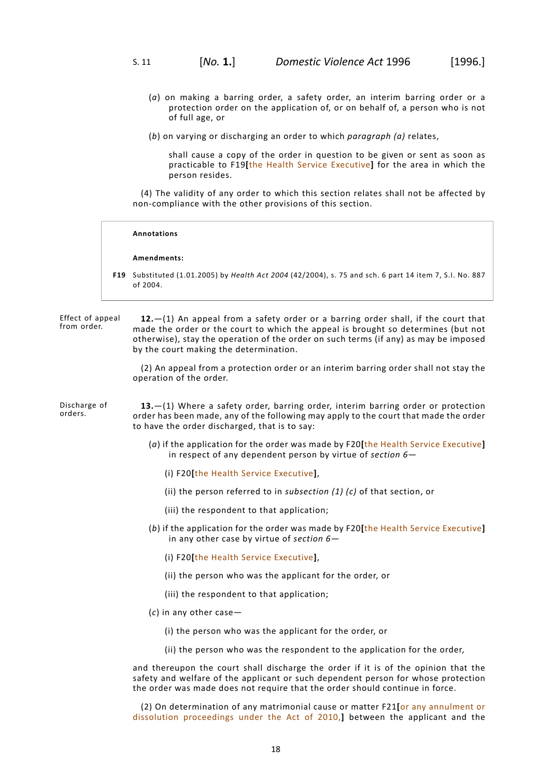- (*a*) on making a barring order, a safety order, an interim barring order or a protection order on the application of, or on behalf of, a person who is not of full age, or
- (*b*) on varying or discharging an order to which *paragraph (a)* relates,

shall cause a copy of the order in question to be given or sent as soon as practicable to F19**[**the Health Service Executive**]** for the area in which the person resides.

(4) The validity of any order to which this section relates shall not be affected by non-compliance with the other provisions of this section.

#### **Annotations**

#### **Amendments:**

<span id="page-21-0"></span>**F19** Substituted (1.01.2005) by *Health Act 2004* (42/2004), s. 75 and sch. 6 part 14 item 7, S.I. No. 887 of 2004.

Effect of appeal from order. **12.**—(1) An appeal from a safety order or a barring order shall, if the court that made the order or the court to which the appeal is brought so determines (but not otherwise), stay the operation of the order on such terms (if any) as may be imposed by the court making the determination.

> <span id="page-21-1"></span>(2) An appeal from a protection order or an interim barring order shall not stay the operation of the order.

- Discharge of orders. **13.**—(1) Where a safety order, barring order, interim barring order or protection order has been made, any of the following may apply to the court that made the order to have the order discharged, that is to say:
	- (*a*) if the application for the order was made by F20**[**the Health Service Executive**]** in respect of any dependent person by virtue of *[section](#page-16-0) 6*—
		- (i) F20**[**the Health Service Executive**]**,
		- (ii) the person referred to in *subsection (1) (c)* of that section, or
		- (iii) the respondent to that application;
	- (*b*) if the application for the order was made by F20**[**the Health Service Executive**]** in any other case by virtue of *[section](#page-16-0) 6*—
		- (i) F20**[**the Health Service Executive**]**,
		- (ii) the person who was the applicant for the order, or
		- (iii) the respondent to that application;
	- (*c*) in any other case—
		- (i) the person who was the applicant for the order, or
		- (ii) the person who was the respondent to the application for the order,

and thereupon the court shall discharge the order if it is of the opinion that the safety and welfare of the applicant or such dependent person for whose protection the order was made does not require that the order should continue in force.

(2) On determination of any matrimonial cause or matter F21**[**or any annulment or dissolution proceedings under the Act of 2010,**]** between the applicant and the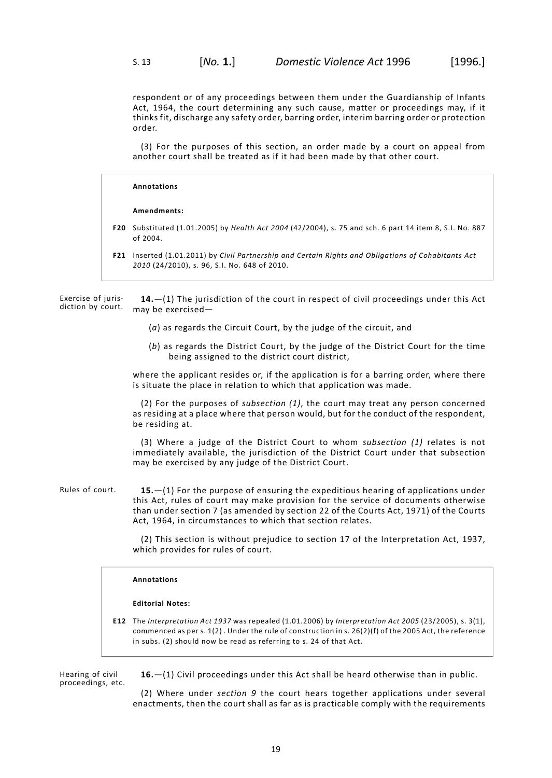respondent or of any proceedings between them under the Guardianship of Infants Act, 1964, the court determining any such cause, matter or proceedings may, if it thinks fit, discharge any safety order, barring order, interim barring order or protection order.

(3) For the purposes of this section, an order made by a court on appeal from another court shall be treated as if it had been made by that other court.

# **Annotations Amendments: F20** Substituted (1.01.2005) by *Health Act 2004* (42/2004), s. 75 and sch. 6 part 14 item 8, S.I. No. 887 of 2004. **F21** Inserted (1.01.2011) by *Civil Partnership and Certain Rights and Obligations of Cohabitants Act 2010* (24/2010), s. 96, S.I. No. 648 of 2010.

Exercise of jurisdiction by court. **14.**—(1) The jurisdiction of the court in respect of civil proceedings under this Act may be exercised—

- <span id="page-22-0"></span>(*a*) as regards the Circuit Court, by the judge of the circuit, and
- (*b*) as regards the District Court, by the judge of the District Court for the time being assigned to the district court district,

where the applicant resides or, if the application is for a barring order, where there is situate the place in relation to which that application was made.

(2) For the purposes of *subsection (1)*, the court may treat any person concerned as residing at a place where that person would, but for the conduct of the respondent, be residing at.

<span id="page-22-1"></span>(3) Where a judge of the District Court to whom *subsection (1)* relates is not immediately available, the jurisdiction of the District Court under that subsection may be exercised by any judge of the District Court.

Rules of court. **15.**—(1) For the purpose of ensuring the expeditious hearing of applications under this Act, rules of court may make provision for the service of documents otherwise than under section 7 (as amended by section 22 of the Courts Act, 1971) of the Courts Act, 1964, in circumstances to which that section relates.

> (2) This section is without prejudice to section 17 of the Interpretation Act, 1937, which provides for rules of court.

# **Annotations**

#### <span id="page-22-2"></span>**Editorial Notes:**

**E12** The *Interpretation Act 1937* was repealed (1.01.2006) by *Interpretation Act 2005* (23/2005), s. 3(1), commenced as per s. 1(2) . Under the rule of construction in s. 26(2)(f) of the 2005 Act, the reference in subs. (2) should now be read as referring to s. 24 of that Act.

Hearing of civil proceedings, etc. **16.**—(1) Civil proceedings under this Act shall be heard otherwise than in public.

(2) Where under *[section](#page-19-1) 9* the court hears together applications under several enactments, then the court shall as far as is practicable comply with the requirements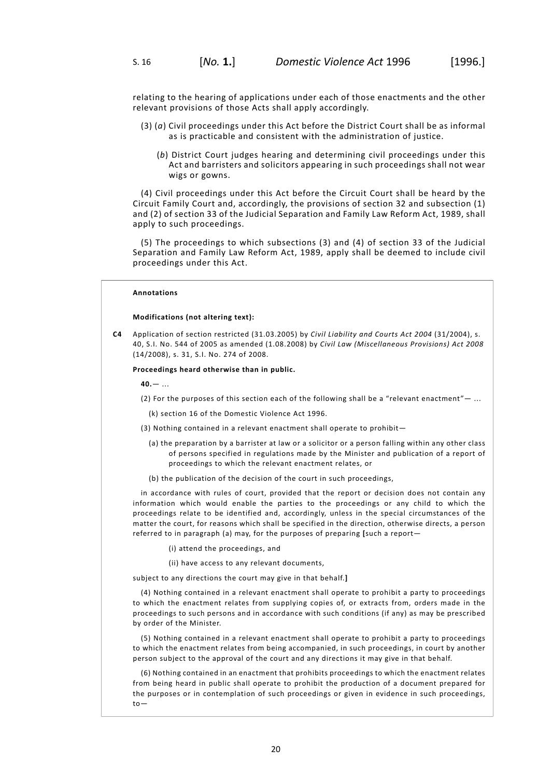relating to the hearing of applications under each of those enactments and the other relevant provisions of those Acts shall apply accordingly.

- (3) (*a*) Civil proceedings under this Act before the District Court shall be as informal as is practicable and consistent with the administration of justice.
	- (*b*) District Court judges hearing and determining civil proceedings under this Act and barristers and solicitors appearing in such proceedings shall not wear wigs or gowns.

(4) Civil proceedings under this Act before the Circuit Court shall be heard by the Circuit Family Court and, accordingly, the provisions of section 32 and subsection (1) and (2) of section 33 of the Judicial Separation and Family Law Reform Act, 1989, shall apply to such proceedings.

(5) The proceedings to which subsections (3) and (4) of section 33 of the Judicial Separation and Family Law Reform Act, 1989, apply shall be deemed to include civil proceedings under this Act.

# **Annotations**

#### **Modifications (not altering text):**

**C4** Application of section restricted (31.03.2005) by *Civil Liability and Courts Act 2004* (31/2004), s. 40, S.I. No. 544 of 2005 as amended (1.08.2008) by *Civil Law (Miscellaneous Provisions) Act 2008* (14/2008), s. 31, S.I. No. 274 of 2008.

**Proceedings heard otherwise than in public.**

**40.**— ...

(2) For the purposes of this section each of the following shall be a "relevant enactment"— ...

(k) section 16 of the Domestic Violence Act 1996.

- (3) Nothing contained in a relevant enactment shall operate to prohibit—
	- (a) the preparation by a barrister at law or a solicitor or a person falling within any other class of persons specified in regulations made by the Minister and publication of a report of proceedings to which the relevant enactment relates, or
	- (b) the publication of the decision of the court in such proceedings,

in accordance with rules of court, provided that the report or decision does not contain any information which would enable the parties to the proceedings or any child to which the proceedings relate to be identified and, accordingly, unless in the special circumstances of the matter the court, for reasons which shall be specified in the direction, otherwise directs, a person referred to in paragraph (a) may, for the purposes of preparing **[**such a report—

- (i) attend the proceedings, and
- (ii) have access to any relevant documents,

subject to any directions the court may give in that behalf.**]**

(4) Nothing contained in a relevant enactment shall operate to prohibit a party to proceedings to which the enactment relates from supplying copies of, or extracts from, orders made in the proceedings to such persons and in accordance with such conditions (if any) as may be prescribed by order of the Minister.

(5) Nothing contained in a relevant enactment shall operate to prohibit a party to proceedings to which the enactment relates from being accompanied, in such proceedings, in court by another person subject to the approval of the court and any directions it may give in that behalf.

(6) Nothing contained in an enactment that prohibits proceedings to which the enactment relates from being heard in public shall operate to prohibit the production of a document prepared for the purposes or in contemplation of such proceedings or given in evidence in such proceedings, to—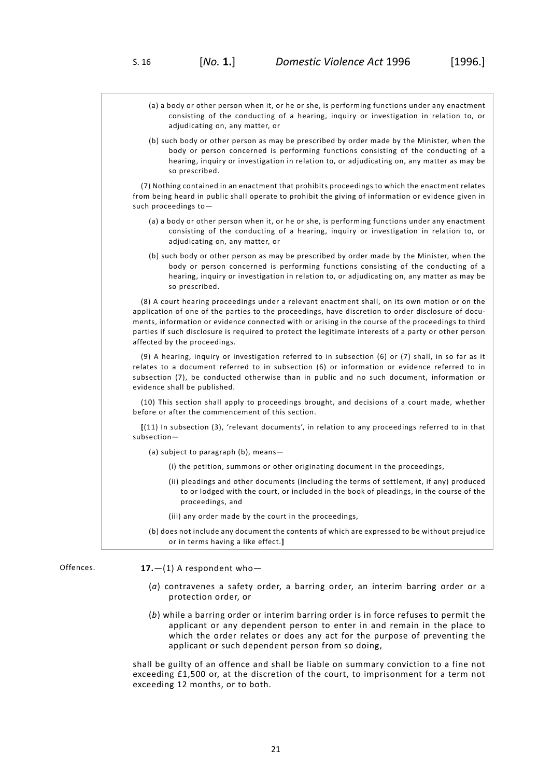- (a) a body or other person when it, or he or she, is performing functions under any enactment consisting of the conducting of a hearing, inquiry or investigation in relation to, or adjudicating on, any matter, or (b) such body or other person as may be prescribed by order made by the Minister, when the body or person concerned is performing functions consisting of the conducting of a hearing, inquiry or investigation in relation to, or adjudicating on, any matter as may be so prescribed. (7) Nothing contained in an enactment that prohibits proceedings to which the enactment relates from being heard in public shall operate to prohibit the giving of information or evidence given in such proceedings to— (a) a body or other person when it, or he or she, is performing functions under any enactment consisting of the conducting of a hearing, inquiry or investigation in relation to, or adjudicating on, any matter, or (b) such body or other person as may be prescribed by order made by the Minister, when the body or person concerned is performing functions consisting of the conducting of a hearing, inquiry or investigation in relation to, or adjudicating on, any matter as may be so prescribed. (8) A court hearing proceedings under a relevant enactment shall, on its own motion or on the application of one of the parties to the proceedings, have discretion to order disclosure of documents, information or evidence connected with or arising in the course of the proceedings to third parties if such disclosure is required to protect the legitimate interests of a party or other person affected by the proceedings. (9) A hearing, inquiry or investigation referred to in subsection (6) or (7) shall, in so far as it relates to a document referred to in subsection (6) or information or evidence referred to in subsection (7), be conducted otherwise than in public and no such document, information or evidence shall be published. (10) This section shall apply to proceedings brought, and decisions of a court made, whether before or after the commencement of this section. **[**(11) In subsection (3), 'relevant documents', in relation to any proceedings referred to in that subsection— (a) subject to paragraph (b), means— (i) the petition, summons or other originating document in the proceedings, (ii) pleadings and other documents (including the terms of settlement, if any) produced to or lodged with the court, or included in the book of pleadings, in the course of the proceedings, and
	- (iii) any order made by the court in the proceedings,
	- (b) does not include any document the contents of which are expressed to be without prejudice or in terms having a like effect.**]**

Offences. **17.**—(1) A respondent who—

- <span id="page-24-0"></span>(*a*) contravenes a safety order, a barring order, an interim barring order or a protection order, or
- (*b*) while a barring order or interim barring order is in force refuses to permit the applicant or any dependent person to enter in and remain in the place to which the order relates or does any act for the purpose of preventing the applicant or such dependent person from so doing,

shall be guilty of an offence and shall be liable on summary conviction to a fine not exceeding £1,500 or, at the discretion of the court, to imprisonment for a term not exceeding 12 months, or to both.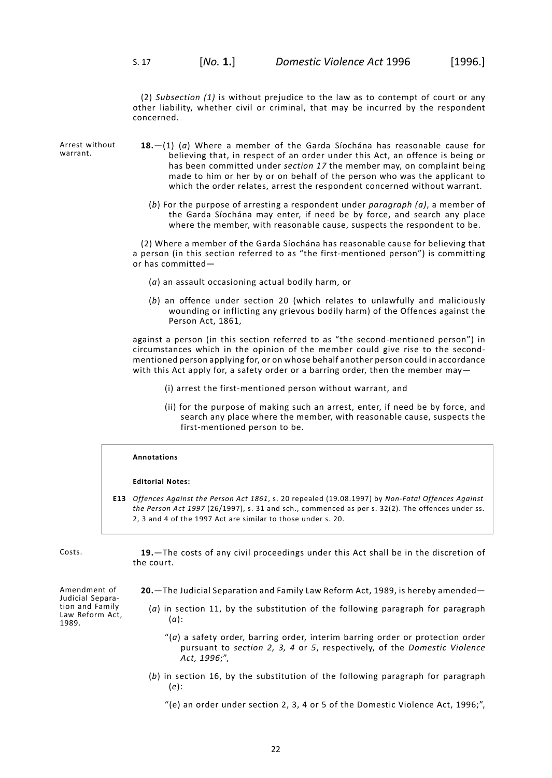(2) *Subsection (1)* is without prejudice to the law as to contempt of court or any other liability, whether civil or criminal, that may be incurred by the respondent concerned.

Arrest without warrant.

- <span id="page-25-0"></span>**18.**—(1) (*a*) Where a member of the Garda Síochána has reasonable cause for believing that, in respect of an order under this Act, an offence is being or has been committed under *[section](#page-24-0) 17* the member may, on complaint being made to him or her by or on behalf of the person who was the applicant to which the order relates, arrest the respondent concerned without warrant.
	- (*b*) For the purpose of arresting a respondent under *paragraph (a)*, a member of the Garda Síochána may enter, if need be by force, and search any place where the member, with reasonable cause, suspects the respondent to be.

(2) Where a member of the Garda Síochána has reasonable cause for believing that a person (in this section referred to as "the first-mentioned person") is committing or has committed—

- (*a*) an assault occasioning actual bodily harm, or
- (*b*) an offence under section 20 (which relates to unlawfully and maliciously wounding or inflicting any grievous bodily harm) of the Offences against the Person Act, 1861,

against a person (in this section referred to as "the second-mentioned person") in circumstances which in the opinion of the member could give rise to the secondmentioned person applying for, or on whose behalf another person could in accordance with this Act apply for, a safety order or a barring order, then the member may—

- (i) arrest the first-mentioned person without warrant, and
- (ii) for the purpose of making such an arrest, enter, if need be by force, and search any place where the member, with reasonable cause, suspects the first-mentioned person to be.

# **Annotations**

#### **Editorial Notes:**

<span id="page-25-2"></span><span id="page-25-1"></span>**E13** *Offences Against the Person Act 1861*, s. 20 repealed (19.08.1997) by *Non-Fatal Offences Against the Person Act 1997* (26/1997), s. 31 and sch., commenced as per s. 32(2). The offences under ss. 2, 3 and 4 of the 1997 Act are similar to those under s. 20.

Costs. **19.**—The costs of any civil proceedings under this Act shall be in the discretion of the court.

- Amendment of Judicial Separation and Family Law Reform Act, 1989.
	- **20.**—The Judicial Separation and Family Law Reform Act, 1989, is hereby amended—
		- (*a*) in section 11, by the substitution of the following paragraph for paragraph (*a*):
			- "(*a*) a safety order, barring order, interim barring order or protection order pursuant to *[section](#page-8-0) 2, [3](#page-11-0), [4](#page-14-0)* or *[5](#page-15-0)*, respectively, of the *Domestic Violence Act, 1996*;",
		- (*b*) in section 16, by the substitution of the following paragraph for paragraph (*e*):
			- "(e) an order under section 2, 3, 4 or 5 of the Domestic Violence Act, 1996;",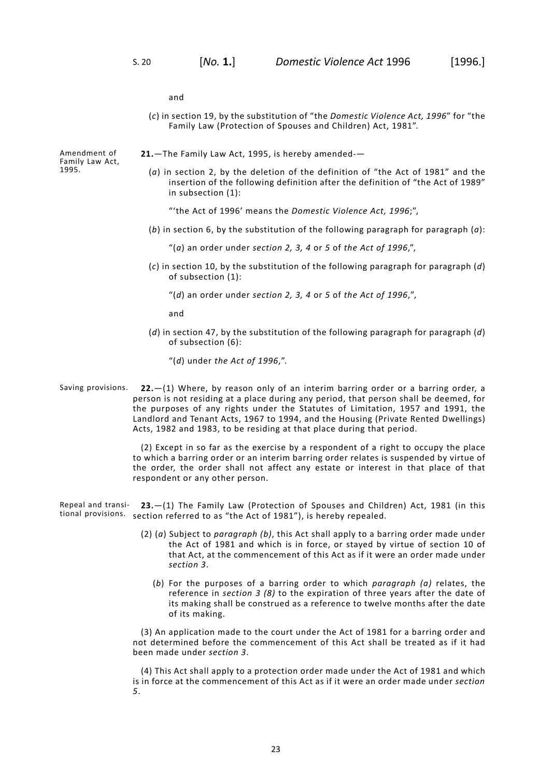and

(*c*) in section 19, by the substitution of "the *Domestic Violence Act, 1996*" for "the Family Law (Protection of Spouses and Children) Act, 1981".

<span id="page-26-0"></span>**21.**—The Family Law Act, 1995, is hereby amended-—

(*a*) in section 2, by the deletion of the definition of "the Act of 1981" and the insertion of the following definition after the definition of "the Act of 1989" in subsection (1):

"'the Act of 1996' means the *Domestic Violence Act, 1996*;",

(*b*) in section 6, by the substitution of the following paragraph for paragraph (*a*):

"(*a*) an order under *[section](#page-8-0) 2, [3,](#page-11-0) [4](#page-14-0)* or *[5](#page-15-0)* of *the Act of 1996*,",

- (*c*) in section 10, by the substitution of the following paragraph for paragraph (*d*) of subsection (1):
	- "(*d*) an order under *[section](#page-8-0) 2, [3,](#page-11-0) [4](#page-14-0)* or *[5](#page-15-0)* of *the Act of 1996*,",

and

<span id="page-26-1"></span>(*d*) in section 47, by the substitution of the following paragraph for paragraph (*d*) of subsection (6):

"(*d*) under *the Act of 1996*,".

Saving provisions. **22.**—(1) Where, by reason only of an interim barring order or a barring order, a person is not residing at a place during any period, that person shall be deemed, for the purposes of any rights under the Statutes of Limitation, 1957 and 1991, the Landlord and Tenant Acts, 1967 to 1994, and the Housing (Private Rented Dwellings) Acts, 1982 and 1983, to be residing at that place during that period.

> <span id="page-26-2"></span>(2) Except in so far as the exercise by a respondent of a right to occupy the place to which a barring order or an interim barring order relates is suspended by virtue of the order, the order shall not affect any estate or interest in that place of that respondent or any other person.

Repeal and transitional provisions. section referred to as "the Act of 1981"), is hereby repealed. **23.**—(1) The Family Law (Protection of Spouses and Children) Act, 1981 (in this

- (2) (*a*) Subject to *paragraph (b)*, this Act shall apply to a barring order made under the Act of 1981 and which is in force, or stayed by virtue of section 10 of that Act, at the commencement of this Act as if it were an order made under *[section](#page-11-0) 3*.
	- (*b*) For the purposes of a barring order to which *paragraph (a)* relates, the reference in *[section](#page-11-0) 3 (8)* to the expiration of three years after the date of its making shall be construed as a reference to twelve months after the date of its making.

(3) An application made to the court under the Act of 1981 for a barring order and not determined before the commencement of this Act shall be treated as if it had been made under *[section](#page-11-0) 3*.

(4) This Act shall apply to a protection order made under the Act of 1981 and which is in force at the commencement of this Act as if it were an order made under *[section](#page-15-0) [5](#page-15-0)*.

Amendment of Family Law Act, 1995.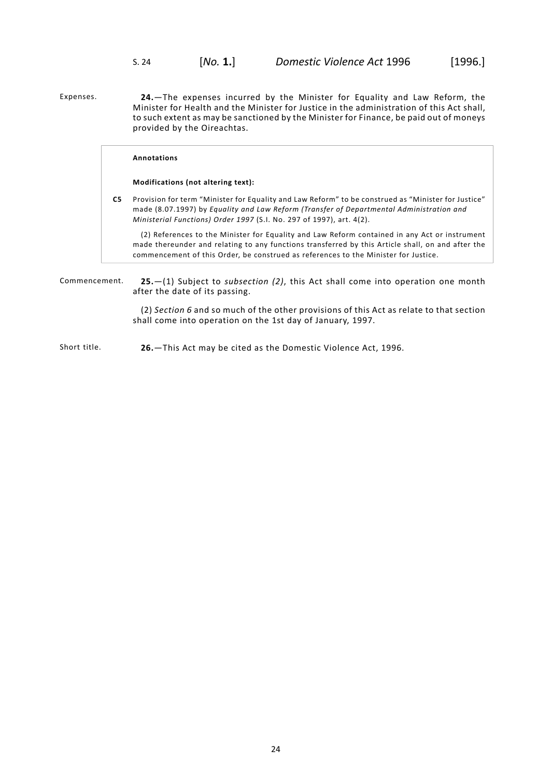<span id="page-27-0"></span>Expenses. **24.**—The expenses incurred by the Minister for Equality and Law Reform, the Minister for Health and the Minister for Justice in the administration of this Act shall, to such extent as may be sanctioned by the Minister for Finance, be paid out of moneys provided by the Oireachtas.

# **Annotations**

#### **Modifications (not altering text):**

**C5** Provision for term "Minister for Equality and Law Reform" to be construed as "Minister for Justice" made (8.07.1997) by *Equality and Law Reform (Transfer of Departmental Administration and Ministerial Functions) Order 1997* (S.I. No. 297 of 1997), art. 4(2).

<span id="page-27-1"></span>(2) References to the Minister for Equality and Law Reform contained in any Act or instrument made thereunder and relating to any functions transferred by this Article shall, on and after the commencement of this Order, be construed as references to the Minister for Justice.

Commencement. **25.**—(1) Subject to *subsection (2)*, this Act shall come into operation one month after the date of its passing.

> <span id="page-27-2"></span>(2) *[Section](#page-16-0) 6* and so much of the other provisions of this Act as relate to that section shall come into operation on the 1st day of January, 1997.

Short title. **26.**—This Act may be cited as the Domestic Violence Act, 1996.